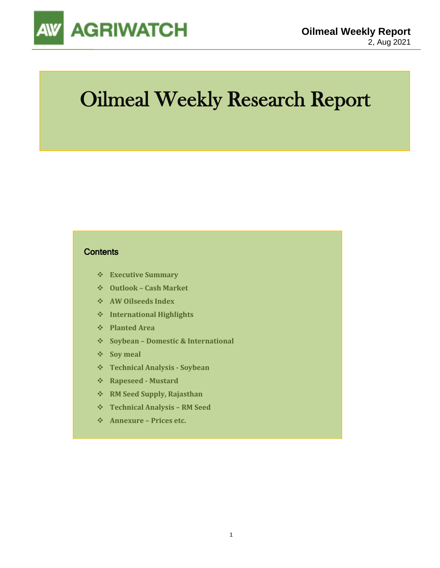

## Oilmeal Weekly Research Report

### **Contents**

- ❖ **Executive Summary**
- ❖ **Outlook – Cash Market**
- ❖ **AW Oilseeds Index**
- ❖ **International Highlights**
- ❖ **Planted Area**
- ❖ **Soybean – Domestic & International**
- ❖ **Soy meal**
- ❖ **Technical Analysis - Soybean**
- ❖ **Rapeseed - Mustard**
- ❖ **RM Seed Supply, Rajasthan**
- ❖ **Technical Analysis – RM Seed**
- ❖ **Annexure – Prices etc.**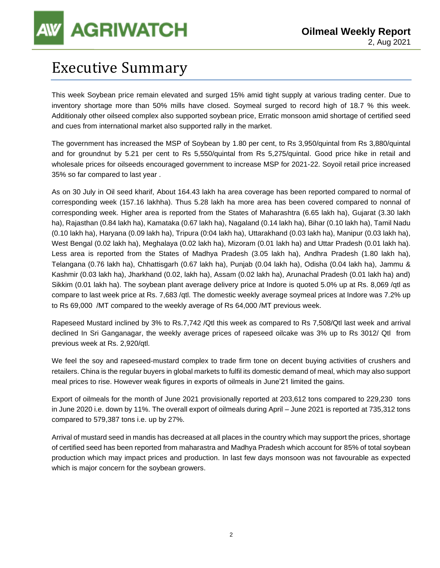### Executive Summary

This week Soybean price remain elevated and surged 15% amid tight supply at various trading center. Due to inventory shortage more than 50% mills have closed. Soymeal surged to record high of 18.7 % this week. Additionaly other oilseed complex also supported soybean price, Erratic monsoon amid shortage of certified seed and cues from international market also supported rally in the market.

The government has increased the MSP of Soybean by 1.80 per cent, to Rs 3,950/quintal from Rs 3,880/quintal and for groundnut by 5.21 per cent to Rs 5,550/quintal from Rs 5,275/quintal. Good price hike in retail and wholesale prices for oilseeds encouraged government to increase MSP for 2021-22. Soyoil retail price increased 35% so far compared to last year .

As on 30 July in Oil seed kharif, About 164.43 lakh ha area coverage has been reported compared to normal of corresponding week (157.16 lakhha). Thus 5.28 lakh ha more area has been covered compared to nonnal of corresponding week. Higher area is reported from the States of Maharashtra (6.65 lakh ha), Gujarat (3.30 lakh ha), Rajasthan (0.84 lakh ha), Kamataka (0.67 lakh ha), Nagaland (0.14 lakh ha), Bihar (0.10 lakh ha), Tamil Nadu (0.10 lakh ha), Haryana (0.09 lakh ha), Tripura (0:04 lakh ha), Uttarakhand (0.03 lakh ha), Manipur (0.03 lakh ha), West Bengal (0.02 lakh ha), Meghalaya (0.02 lakh ha), Mizoram (0.01 lakh ha) and Uttar Pradesh (0.01 lakh ha). Less area is reported from the States of Madhya Pradesh (3.05 lakh ha), Andhra Pradesh (1.80 lakh ha), Telangana (0.76 lakh ha), Chhattisgarh (0.67 lakh ha), Punjab (0.04 lakh ha), Odisha (0.04 lakh ha), Jammu & Kashmir (0.03 lakh ha), Jharkhand (0.02, lakh ha), Assam (0.02 lakh ha), Arunachal Pradesh (0.01 lakh ha) and) Sikkim (0.01 lakh ha). The soybean plant average delivery price at Indore is quoted 5.0% up at Rs. 8,069 /qtl as compare to last week price at Rs. 7,683 /qtl. The domestic weekly average soymeal prices at Indore was 7.2% up to Rs 69,000 /MT compared to the weekly average of Rs 64,000 /MT previous week.

Rapeseed Mustard inclined by 3% to Rs.7,742 /Qtl this week as compared to Rs 7,508/Qtl last week and arrival declined In Sri Ganganagar, the weekly average prices of rapeseed oilcake was 3% up to Rs 3012/ Qtl from previous week at Rs. 2,920/qtl.

We feel the soy and rapeseed-mustard complex to trade firm tone on decent buying activities of crushers and retailers. China is the regular buyers in global markets to fulfil its domestic demand of meal, which may also support meal prices to rise. However weak figures in exports of oilmeals in June'21 limited the gains.

Export of oilmeals for the month of June 2021 provisionally reported at 203,612 tons compared to 229,230 tons in June 2020 i.e. down by 11%. The overall export of oilmeals during April – June 2021 is reported at 735,312 tons compared to 579,387 tons i.e. up by 27%.

Arrival of mustard seed in mandis has decreased at all places in the country which may support the prices, shortage of certified seed has been reported from maharastra and Madhya Pradesh which account for 85% of total soybean production which may impact prices and production. In last few days monsoon was not favourable as expected which is major concern for the soybean growers.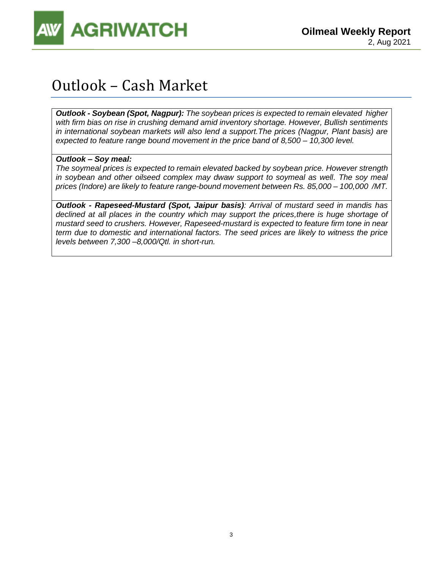

### Outlook – Cash Market

*Outlook - Soybean (Spot, Nagpur): The soybean prices is expected to remain elevated higher with firm bias on rise in crushing demand amid inventory shortage. However, Bullish sentiments in international soybean markets will also lend a support.The prices (Nagpur, Plant basis) are expected to feature range bound movement in the price band of 8,500 – 10,300 level.* 

#### *Outlook – Soy meal:*

*The soymeal prices is expected to remain elevated backed by soybean price. However strength*  in soybean and other oilseed complex may dwaw support to soymeal as well. The soy meal *prices (Indore) are likely to feature range-bound movement between Rs. 85,000 – 100,000 /MT.*

*Outlook - Rapeseed-Mustard (Spot, Jaipur basis): Arrival of mustard seed in mandis has declined at all places in the country which may support the prices,there is huge shortage of mustard seed to crushers. However, Rapeseed-mustard is expected to feature firm tone in near term due to domestic and international factors. The seed prices are likely to witness the price levels between 7,300 –8,000/Qtl. in short-run.*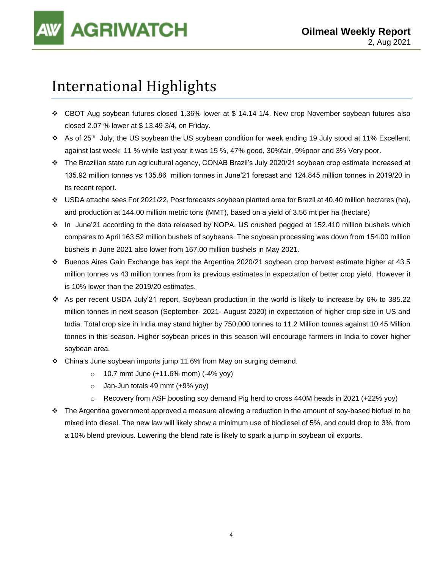

### International Highlights

- ❖ CBOT Aug soybean futures closed 1.36% lower at \$ 14.14 1/4. New crop November soybean futures also closed 2.07 % lower at \$ 13.49 3/4, on Friday.
- ❖ As of 25th July, the US soybean the US soybean condition for week ending 19 July stood at 11% Excellent, against last week 11 % while last year it was 15 %, 47% good, 30%fair, 9%poor and 3% Very poor.
- ❖ The Brazilian state run agricultural agency, CONAB Brazil's July 2020/21 soybean crop estimate increased at 135.92 million tonnes vs 135.86 million tonnes in June'21 forecast and 124.845 million tonnes in 2019/20 in its recent report.
- ❖ USDA attache sees For 2021/22, Post forecasts soybean planted area for Brazil at 40.40 million hectares (ha), and production at 144.00 million metric tons (MMT), based on a yield of 3.56 mt per ha (hectare)
- ❖ In June'21 according to the data released by NOPA, US crushed pegged at 152.410 million bushels which compares to April 163.52 million bushels of soybeans. The soybean processing was down from 154.00 million bushels in June 2021 also lower from 167.00 million bushels in May 2021.
- ❖ Buenos Aires Gain Exchange has kept the Argentina 2020/21 soybean crop harvest estimate higher at 43.5 million tonnes vs 43 million tonnes from its previous estimates in expectation of better crop yield. However it is 10% lower than the 2019/20 estimates.
- ❖ As per recent USDA July'21 report, Soybean production in the world is likely to increase by 6% to 385.22 million tonnes in next season (September- 2021- August 2020) in expectation of higher crop size in US and India. Total crop size in India may stand higher by 750,000 tonnes to 11.2 Million tonnes against 10.45 Million tonnes in this season. Higher soybean prices in this season will encourage farmers in India to cover higher soybean area.
- ❖ China's June soybean imports jump 11.6% from May on surging demand.
	- o 10.7 mmt June (+11.6% mom) (-4% yoy)
	- $\circ$  Jan-Jun totals 49 mmt (+9% yoy)
	- o Recovery from ASF boosting soy demand Pig herd to cross 440M heads in 2021 (+22% yoy)
- ❖ The Argentina government approved a measure allowing a reduction in the amount of soy-based biofuel to be mixed into diesel. The new law will likely show a minimum use of biodiesel of 5%, and could drop to 3%, from a 10% blend previous. Lowering the blend rate is likely to spark a jump in soybean oil exports.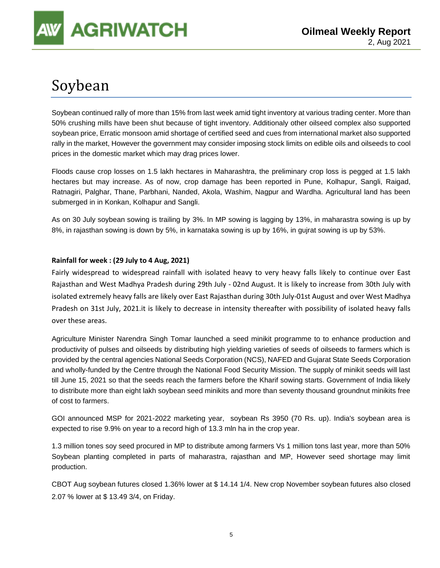

### Soybean

Soybean continued rally of more than 15% from last week amid tight inventory at various trading center. More than 50% crushing mills have been shut because of tight inventory. Additionaly other oilseed complex also supported soybean price, Erratic monsoon amid shortage of certified seed and cues from international market also supported rally in the market, However the government may consider imposing stock limits on edible oils and oilseeds to cool prices in the domestic market which may drag prices lower.

Floods cause crop losses on 1.5 lakh hectares in Maharashtra, the preliminary crop loss is pegged at 1.5 lakh hectares but may increase. As of now, crop damage has been reported in Pune, Kolhapur, Sangli, Raigad, Ratnagiri, Palghar, Thane, Parbhani, Nanded, Akola, Washim, Nagpur and Wardha. Agricultural land has been submerged in in Konkan, Kolhapur and Sangli.

As on 30 July soybean sowing is trailing by 3%. In MP sowing is lagging by 13%, in maharastra sowing is up by 8%, in rajasthan sowing is down by 5%, in karnataka sowing is up by 16%, in gujrat sowing is up by 53%.

#### **Rainfall for week : (29 July to 4 Aug, 2021)**

Fairly widespread to widespread rainfall with isolated heavy to very heavy falls likely to continue over East Rajasthan and West Madhya Pradesh during 29th July - 02nd August. It is likely to increase from 30th July with isolated extremely heavy falls are likely over East Rajasthan during 30th July-01st August and over West Madhya Pradesh on 31st July, 2021.it is likely to decrease in intensity thereafter with possibility of isolated heavy falls over these areas.

Agriculture Minister Narendra Singh Tomar launched a seed minikit programme to to enhance production and productivity of pulses and oilseeds by distributing high yielding varieties of seeds of oilseeds to farmers which is provided by the central agencies National Seeds Corporation (NCS), NAFED and Gujarat State Seeds Corporation and wholly-funded by the Centre through the National Food Security Mission. The supply of minikit seeds will last till June 15, 2021 so that the seeds reach the farmers before the Kharif sowing starts. Government of India likely to distribute more than eight lakh soybean seed minikits and more than seventy thousand groundnut minikits free of cost to farmers.

GOI announced MSP for 2021-2022 marketing year, soybean Rs 3950 (70 Rs. up). India's soybean area is expected to rise 9.9% on year to a record high of 13.3 mln ha in the crop year.

1.3 million tones soy seed procured in MP to distribute among farmers Vs 1 million tons last year, more than 50% Soybean planting completed in parts of maharastra, rajasthan and MP, However seed shortage may limit production.

CBOT Aug soybean futures closed 1.36% lower at \$ 14.14 1/4. New crop November soybean futures also closed 2.07 % lower at \$ 13.49 3/4, on Friday.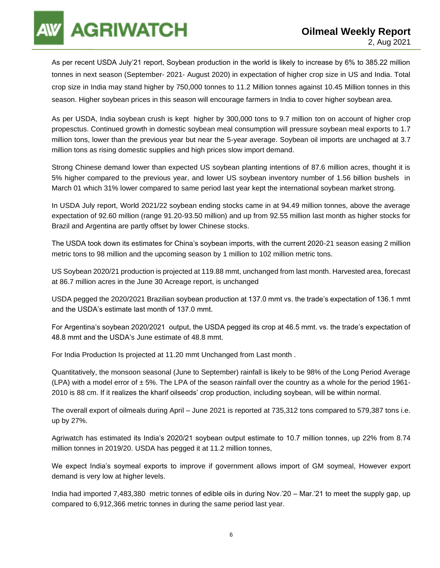As per recent USDA July'21 report, Soybean production in the world is likely to increase by 6% to 385.22 million tonnes in next season (September- 2021- August 2020) in expectation of higher crop size in US and India. Total crop size in India may stand higher by 750,000 tonnes to 11.2 Million tonnes against 10.45 Million tonnes in this season. Higher soybean prices in this season will encourage farmers in India to cover higher soybean area.

As per USDA, India soybean crush is kept higher by 300,000 tons to 9.7 million ton on account of higher crop propesctus. Continued growth in domestic soybean meal consumption will pressure soybean meal exports to 1.7 million tons, lower than the previous year but near the 5-year average. Soybean oil imports are unchaged at 3.7 million tons as rising domestic supplies and high prices slow import demand.

Strong Chinese demand lower than expected US soybean planting intentions of 87.6 million acres, thought it is 5% higher compared to the previous year, and lower US soybean inventory number of 1.56 billion bushels in March 01 which 31% lower compared to same period last year kept the international soybean market strong.

In USDA July report, World 2021/22 soybean ending stocks came in at 94.49 million tonnes, above the average expectation of 92.60 million (range 91.20-93.50 million) and up from 92.55 million last month as higher stocks for Brazil and Argentina are partly offset by lower Chinese stocks.

The USDA took down its estimates for China's soybean imports, with the current 2020-21 season easing 2 million metric tons to 98 million and the upcoming season by 1 million to 102 million metric tons.

US Soybean 2020/21 production is projected at 119.88 mmt, unchanged from last month. Harvested area, forecast at 86.7 million acres in the June 30 Acreage report, is unchanged

USDA pegged the 2020/2021 Brazilian soybean production at 137.0 mmt vs. the trade's expectation of 136.1 mmt and the USDA's estimate last month of 137.0 mmt.

For Argentina's soybean 2020/2021 output, the USDA pegged its crop at 46.5 mmt. vs. the trade's expectation of 48.8 mmt and the USDA's June estimate of 48.8 mmt.

For India Production Is projected at 11.20 mmt Unchanged from Last month .

Quantitatively, the monsoon seasonal (June to September) rainfall is likely to be 98% of the Long Period Average (LPA) with a model error of  $\pm$  5%. The LPA of the season rainfall over the country as a whole for the period 1961-2010 is 88 cm. If it realizes the kharif oilseeds' crop production, including soybean, will be within normal.

The overall export of oilmeals during April – June 2021 is reported at 735,312 tons compared to 579,387 tons i.e. up by 27%.

Agriwatch has estimated its India's 2020/21 soybean output estimate to 10.7 million tonnes, up 22% from 8.74 million tonnes in 2019/20. USDA has pegged it at 11.2 million tonnes,

We expect India's soymeal exports to improve if government allows import of GM soymeal, However export demand is very low at higher levels.

India had imported 7,483,380 metric tonnes of edible oils in during Nov.'20 – Mar.'21 to meet the supply gap, up compared to 6,912,366 metric tonnes in during the same period last year.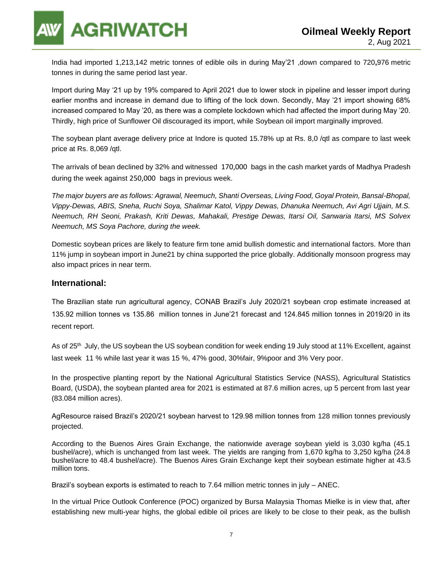India had imported 1,213,142 metric tonnes of edible oils in during May'21 ,down compared to 720**,**976 metric tonnes in during the same period last year.

Import during May '21 up by 19% compared to April 2021 due to lower stock in pipeline and lesser import during earlier months and increase in demand due to lifting of the lock down. Secondly, May '21 import showing 68% increased compared to May '20, as there was a complete lockdown which had affected the import during May '20. Thirdly, high price of Sunflower Oil discouraged its import, while Soybean oil import marginally improved.

The soybean plant average delivery price at Indore is quoted 15.78% up at Rs. 8,0 /qtl as compare to last week price at Rs. 8,069 /qtl.

The arrivals of bean declined by 32% and witnessed 170,000 bags in the cash market yards of Madhya Pradesh during the week against 250,000 bags in previous week.

*The major buyers are as follows: Agrawal, Neemuch, Shanti Overseas, Living Food, Goyal Protein, Bansal-Bhopal, Vippy-Dewas, ABIS, Sneha, Ruchi Soya, Shalimar Katol, Vippy Dewas, Dhanuka Neemuch, Avi Agri Ujjain, M.S. Neemuch, RH Seoni, Prakash, Kriti Dewas, Mahakali, Prestige Dewas, Itarsi Oil, Sanwaria Itarsi, MS Solvex Neemuch, MS Soya Pachore, during the week.*

Domestic soybean prices are likely to feature firm tone amid bullish domestic and international factors. More than 11% jump in soybean import in June21 by china supported the price globally. Additionally monsoon progress may also impact prices in near term.

### **International:**

The Brazilian state run agricultural agency, CONAB Brazil's July 2020/21 soybean crop estimate increased at 135.92 million tonnes vs 135.86 million tonnes in June'21 forecast and 124.845 million tonnes in 2019/20 in its recent report.

As of 25<sup>th</sup> July, the US soybean the US soybean condition for week ending 19 July stood at 11% Excellent, against last week 11 % while last year it was 15 %, 47% good, 30%fair, 9%poor and 3% Very poor.

In the prospective planting report by the National Agricultural Statistics Service (NASS), Agricultural Statistics Board, (USDA), the soybean planted area for 2021 is estimated at 87.6 million acres, up 5 percent from last year (83.084 million acres).

AgResource raised Brazil's 2020/21 soybean harvest to 129.98 million tonnes from 128 million tonnes previously projected.

According to the Buenos Aires Grain Exchange, the nationwide average soybean yield is 3,030 kg/ha (45.1 bushel/acre), which is unchanged from last week. The yields are ranging from 1,670 kg/ha to 3,250 kg/ha (24.8 bushel/acre to 48.4 bushel/acre). The Buenos Aires Grain Exchange kept their soybean estimate higher at 43.5 million tons.

Brazil's soybean exports is estimated to reach to 7.64 million metric tonnes in july – ANEC.

In the virtual Price Outlook Conference (POC) organized by Bursa Malaysia Thomas Mielke is in view that, after establishing new multi-year highs, the global edible oil prices are likely to be close to their peak, as the bullish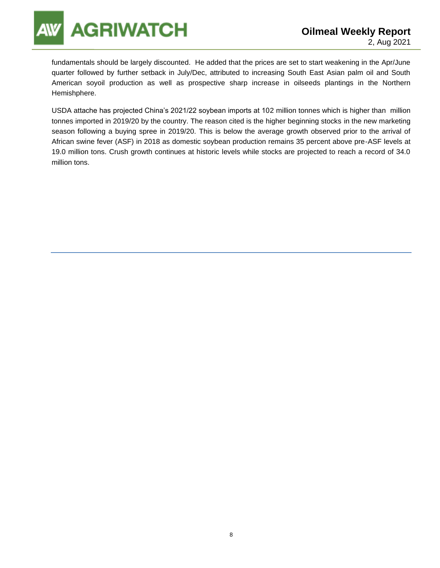

fundamentals should be largely discounted. He added that the prices are set to start weakening in the Apr/June quarter followed by further setback in July/Dec, attributed to increasing South East Asian palm oil and South American soyoil production as well as prospective sharp increase in oilseeds plantings in the Northern Hemishphere.

USDA attache has projected China's 2021/22 soybean imports at 102 million tonnes which is higher than million tonnes imported in 2019/20 by the country. The reason cited is the higher beginning stocks in the new marketing season following a buying spree in 2019/20. This is below the average growth observed prior to the arrival of African swine fever (ASF) in 2018 as domestic soybean production remains 35 percent above pre-ASF levels at 19.0 million tons. Crush growth continues at historic levels while stocks are projected to reach a record of 34.0 million tons.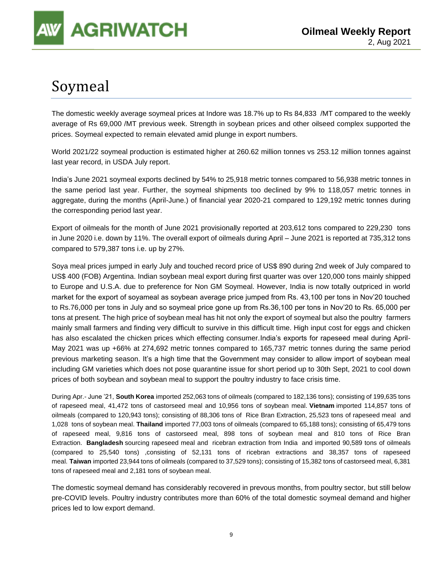

### Soymeal

The domestic weekly average soymeal prices at Indore was 18.7% up to Rs 84,833 /MT compared to the weekly average of Rs 69,000 /MT previous week. Strength in soybean prices and other oilseed complex supported the prices. Soymeal expected to remain elevated amid plunge in export numbers.

World 2021/22 soymeal production is estimated higher at 260.62 million tonnes vs 253.12 million tonnes against last year record, in USDA July report.

India's June 2021 soymeal exports declined by 54% to 25,918 metric tonnes compared to 56,938 metric tonnes in the same period last year. Further, the soymeal shipments too declined by 9% to 118,057 metric tonnes in aggregate, during the months (April-June.) of financial year 2020-21 compared to 129,192 metric tonnes during the corresponding period last year.

Export of oilmeals for the month of June 2021 provisionally reported at 203,612 tons compared to 229,230 tons in June 2020 i.e. down by 11%. The overall export of oilmeals during April – June 2021 is reported at 735,312 tons compared to 579,387 tons i.e. up by 27%.

Soya meal prices jumped in early July and touched record price of US\$ 890 during 2nd week of July compared to US\$ 400 (FOB) Argentina. Indian soybean meal export during first quarter was over 120,000 tons mainly shipped to Europe and U.S.A. due to preference for Non GM Soymeal. However, India is now totally outpriced in world market for the export of soyameal as soybean average price jumped from Rs. 43,100 per tons in Nov'20 touched to Rs.76,000 per tons in July and so soymeal price gone up from Rs.36,100 per tons in Nov'20 to Rs. 65,000 per tons at present. The high price of soybean meal has hit not only the export of soymeal but also the poultry farmers mainly small farmers and finding very difficult to survive in this difficult time. High input cost for eggs and chicken has also escalated the chicken prices which effecting consumer.India's exports for rapeseed meal during April-May 2021 was up +66% at 274,692 metric tonnes compared to 165,737 metric tonnes during the same period previous marketing season. It's a high time that the Government may consider to allow import of soybean meal including GM varieties which does not pose quarantine issue for short period up to 30th Sept, 2021 to cool down prices of both soybean and soybean meal to support the poultry industry to face crisis time.

During Apr.- June '21, **South Korea** imported 252,063 tons of oilmeals (compared to 182,136 tons); consisting of 199,635 tons of rapeseed meal, 41,472 tons of castorseed meal and 10,956 tons of soybean meal. **Vietnam** imported 114,857 tons of oilmeals (compared to 120,943 tons); consisting of 88,306 tons of Rice Bran Extraction, 25,523 tons of rapeseed meal and 1,028 tons of soybean meal. **Thailand** imported 77,003 tons of oilmeals (compared to 65,188 tons); consisting of 65,479 tons of rapeseed meal, 9,816 tons of castorseed meal, 898 tons of soybean meal and 810 tons of Rice Bran Extraction. **Bangladesh** sourcing rapeseed meal and ricebran extraction from India and imported 90,589 tons of oilmeals (compared to 25,540 tons) ,consisting of 52,131 tons of ricebran extractions and 38,357 tons of rapeseed meal. **Taiwan** imported 23,944 tons of oilmeals (compared to 37,529 tons); consisting of 15,382 tons of castorseed meal, 6,381 tons of rapeseed meal and 2,181 tons of soybean meal.

The domestic soymeal demand has considerably recovered in prevous months, from poultry sector, but still below pre-COVID levels. Poultry industry contributes more than 60% of the total domestic soymeal demand and higher prices led to low export demand.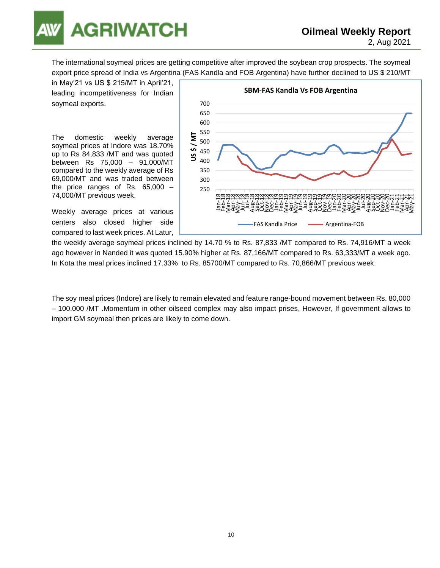

The international soymeal prices are getting competitive after improved the soybean crop prospects. The soymeal export price spread of India vs Argentina (FAS Kandla and FOB Argentina) have further declined to US \$ 210/MT

in May'21 vs US \$ 215/MT in April'21, leading incompetitiveness for Indian soymeal exports.

The domestic weekly average soymeal prices at Indore was 18.70% up to Rs 84,833 /MT and was quoted between Rs 75,000 – 91,000/MT compared to the weekly average of Rs 69,000/MT and was traded between the price ranges of Rs. 65,000 – 74,000/MT previous week.

Weekly average prices at various centers also closed higher side compared to last week prices. At Latur,



the weekly average soymeal prices inclined by 14.70 % to Rs. 87,833 /MT compared to Rs. 74,916/MT a week ago however in Nanded it was quoted 15.90% higher at Rs. 87,166/MT compared to Rs. 63,333/MT a week ago. In Kota the meal prices inclined 17.33% to Rs. 85700/MT compared to Rs. 70,866/MT previous week.

The soy meal prices (Indore) are likely to remain elevated and feature range-bound movement between Rs. 80,000 – 100,000 /MT .Momentum in other oilseed complex may also impact prises, However, If government allows to import GM soymeal then prices are likely to come down.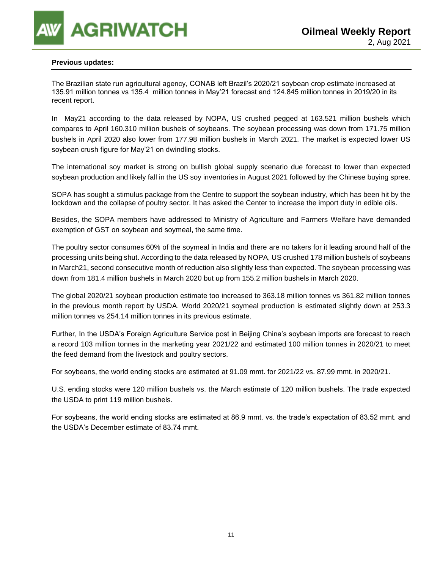#### **Previous updates:**

The Brazilian state run agricultural agency, CONAB left Brazil's 2020/21 soybean crop estimate increased at 135.91 million tonnes vs 135.4 million tonnes in May'21 forecast and 124.845 million tonnes in 2019/20 in its recent report.

In May21 according to the data released by NOPA, US crushed pegged at 163.521 million bushels which compares to April 160.310 million bushels of soybeans. The soybean processing was down from 171.75 million bushels in April 2020 also lower from 177.98 million bushels in March 2021. The market is expected lower US soybean crush figure for May'21 on dwindling stocks.

The international soy market is strong on bullish global supply scenario due forecast to lower than expected soybean production and likely fall in the US soy inventories in August 2021 followed by the Chinese buying spree.

SOPA has sought a stimulus package from the Centre to support the soybean industry, which has been hit by the lockdown and the collapse of poultry sector. It has asked the Center to increase the import duty in edible oils.

Besides, the SOPA members have addressed to Ministry of Agriculture and Farmers Welfare have demanded exemption of GST on soybean and soymeal, the same time.

The poultry sector consumes 60% of the soymeal in India and there are no takers for it leading around half of the processing units being shut. According to the data released by NOPA, US crushed 178 million bushels of soybeans in March21, second consecutive month of reduction also slightly less than expected. The soybean processing was down from 181.4 million bushels in March 2020 but up from 155.2 million bushels in March 2020.

The global 2020/21 soybean production estimate too increased to 363.18 million tonnes vs 361.82 million tonnes in the previous month report by USDA. World 2020/21 soymeal production is estimated slightly down at 253.3 million tonnes vs 254.14 million tonnes in its previous estimate.

Further, In the USDA's Foreign Agriculture Service post in Beijing China's soybean imports are forecast to reach a record 103 million tonnes in the marketing year 2021/22 and estimated 100 million tonnes in 2020/21 to meet the feed demand from the livestock and poultry sectors.

For soybeans, the world ending stocks are estimated at 91.09 mmt. for 2021/22 vs. 87.99 mmt. in 2020/21.

U.S. ending stocks were 120 million bushels vs. the March estimate of 120 million bushels. The trade expected the USDA to print 119 million bushels.

For soybeans, the world ending stocks are estimated at 86.9 mmt. vs. the trade's expectation of 83.52 mmt. and the USDA's December estimate of 83.74 mmt.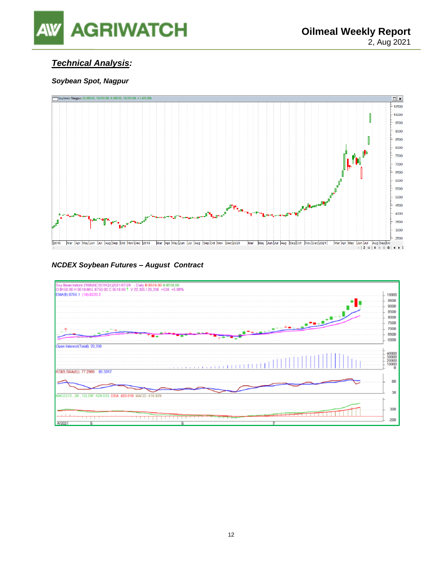

### *Technical Analysis:*

#### *Soybean Spot, Nagpur*



### *NCDEX Soybean Futures – August Contract*

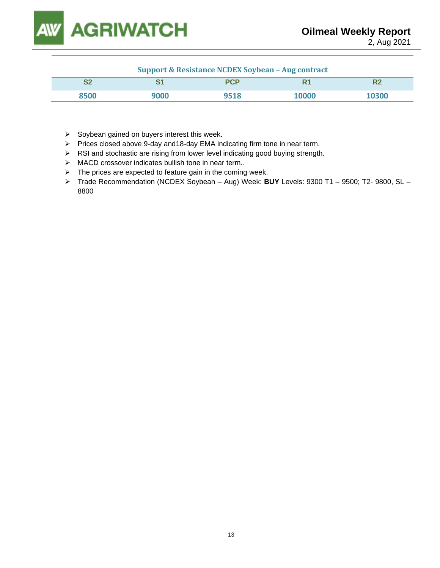

#### **Support & Resistance NCDEX Soybean – Aug contract**

| e-<br>$-2$ | ш.   | חמנ  |      | D' |
|------------|------|------|------|----|
| 0.00       | 9000 | 1518 | ე000 |    |

- ➢ Soybean gained on buyers interest this week.
- ➢ Prices closed above 9-day and18-day EMA indicating firm tone in near term.
- ➢ RSI and stochastic are rising from lower level indicating good buying strength.
- ➢ MACD crossover indicates bullish tone in near term..
- ➢ The prices are expected to feature gain in the coming week.
- ➢ Trade Recommendation (NCDEX Soybean Aug) Week: **BUY** Levels: 9300 T1 9500; T2- 9800, SL 8800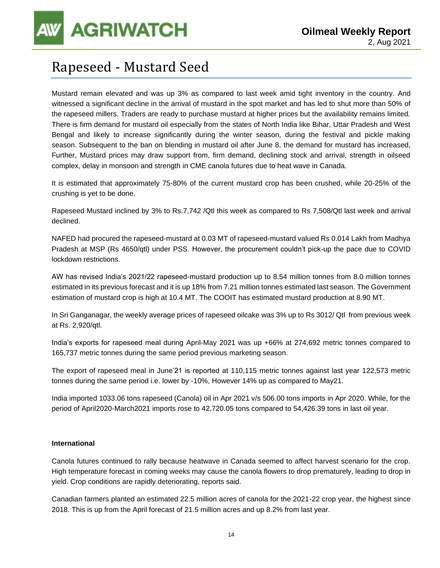### Rapeseed - Mustard Seed

Mustard remain elevated and was up 3% as compared to last week amid tight inventory in the country. And witnessed a significant decline in the arrival of mustard in the spot market and has led to shut more than 50% of the rapeseed millers. Traders are ready to purchase mustard at higher prices but the availability remains limited. There is firm demand for mustard oil especially from the states of North India like Bihar, Uttar Pradesh and West Bengal and likely to increase significantly during the winter season, during the festival and pickle making season. Subsequent to the ban on blending in mustard oil after June 8, the demand for mustard has increased, Further, Mustard prices may draw support from, firm demand, declining stock and arrival, strength in oilseed complex, delay in monsoon and strength in CME canola futures due to heat wave in Canada.

It is estimated that approximately 75-80% of the current mustard crop has been crushed, while 20-25% of the crushing is yet to be done.

Rapeseed Mustard inclined by 3% to Rs.7,742 /Qtl this week as compared to Rs 7,508/Qtl last week and arrival declined.

NAFED had procured the rapeseed-mustard at 0.03 MT of rapeseed-mustard valued Rs 0.014 Lakh from Madhya Pradesh at MSP (Rs 4650/qtl) under PSS. However, the procurement couldn't pick-up the pace due to COVID lockdown restrictions.

AW has revised India's 2021/22 rapeseed-mustard production up to 8.54 million tonnes from 8.0 million tonnes estimated in its previous forecast and it is up 18% from 7.21 million tonnes estimated last season. The Government estimation of mustard crop is high at 10.4 MT. The COOIT has estimated mustard production at 8.90 MT.

In Sri Ganganagar, the weekly average prices of rapeseed oilcake was 3% up to Rs 3012/ Qtl from previous week at Rs. 2,920/qtl.

India's exports for rapeseed meal during April-May 2021 was up +66% at 274,692 metric tonnes compared to 165,737 metric tonnes during the same period previous marketing season.

The export of rapeseed meal in June'21 is reported at 110,115 metric tonnes against last year 122,573 metric tonnes during the same period i.e. lower by -10%, However 14% up as compared to May21.

India imported 1033.06 tons rapeseed (Canola) oil in Apr 2021 v/s 506.00 tons imports in Apr 2020. While, for the period of April2020-March2021 imports rose to 42,720.05 tons compared to 54,426.39 tons in last oil year.

#### **International**

Canola futures continued to rally because heatwave in Canada seemed to affect harvest scenario for the crop. High temperature forecast in coming weeks may cause the canola flowers to drop prematurely, leading to drop in yield. Crop conditions are rapidly deteriorating, reports said.

Canadian farmers planted an estimated 22.5 million acres of canola for the 2021-22 crop year, the highest since 2018. This is up from the April forecast of 21.5 million acres and up 8.2% from last year.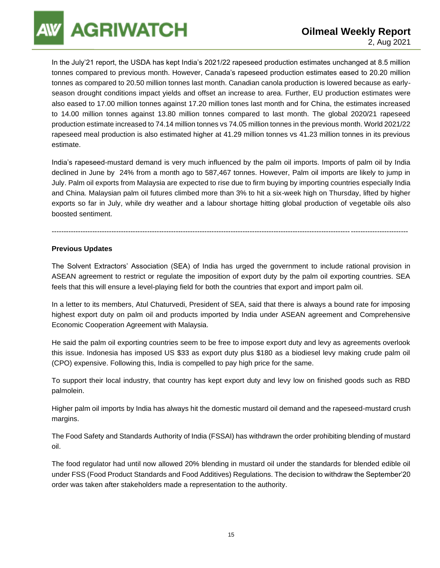In the July'21 report, the USDA has kept India's 2021/22 rapeseed production estimates unchanged at 8.5 million tonnes compared to previous month. However, Canada's rapeseed production estimates eased to 20.20 million tonnes as compared to 20.50 million tonnes last month. Canadian canola production is lowered because as earlyseason drought conditions impact yields and offset an increase to area. Further, EU production estimates were also eased to 17.00 million tonnes against 17.20 million tones last month and for China, the estimates increased to 14.00 million tonnes against 13.80 million tonnes compared to last month. The global 2020/21 rapeseed production estimate increased to 74.14 million tonnes vs 74.05 million tonnes in the previous month. World 2021/22 rapeseed meal production is also estimated higher at 41.29 million tonnes vs 41.23 million tonnes in its previous estimate.

India's rapeseed-mustard demand is very much influenced by the palm oil imports. Imports of palm oil by India declined in June by 24% from a month ago to 587,467 tonnes. However, Palm oil imports are likely to jump in July. Palm oil exports from Malaysia are expected to rise due to firm buying by importing countries especially India and China. Malaysian palm oil futures climbed more than 3% to hit a six-week high on Thursday, lifted by higher exports so far in July, while dry weather and a labour shortage hitting global production of vegetable oils also boosted sentiment.

-----------------------------------------------------------------------------------------------------------------------------------------------------

#### **Previous Updates**

The Solvent Extractors' Association (SEA) of India has urged the government to include rational provision in ASEAN agreement to restrict or regulate the imposition of export duty by the palm oil exporting countries. SEA feels that this will ensure a level-playing field for both the countries that export and import palm oil.

In a letter to its members, Atul Chaturvedi, President of SEA, said that there is always a bound rate for imposing highest export duty on palm oil and products imported by India under ASEAN agreement and Comprehensive Economic Cooperation Agreement with Malaysia.

He said the palm oil exporting countries seem to be free to impose export duty and levy as agreements overlook this issue. Indonesia has imposed US \$33 as export duty plus \$180 as a biodiesel levy making crude palm oil (CPO) expensive. Following this, India is compelled to pay high price for the same.

To support their local industry, that country has kept export duty and levy low on finished goods such as RBD palmolein.

Higher palm oil imports by India has always hit the domestic mustard oil demand and the rapeseed-mustard crush margins.

The Food Safety and Standards Authority of India (FSSAI) has withdrawn the order prohibiting blending of mustard oil.

The food regulator had until now allowed 20% blending in mustard oil under the standards for blended edible oil under FSS (Food Product Standards and Food Additives) Regulations. The decision to withdraw the September'20 order was taken after stakeholders made a representation to the authority.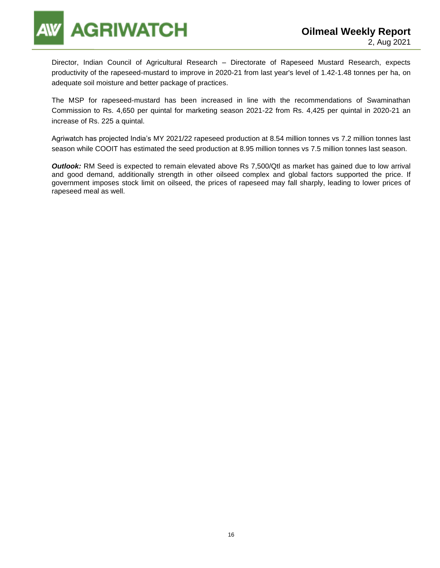

Director, Indian Council of Agricultural Research – Directorate of Rapeseed Mustard Research, expects productivity of the rapeseed-mustard to improve in 2020-21 from last year's level of 1.42-1.48 tonnes per ha, on adequate soil moisture and better package of practices.

The MSP for rapeseed-mustard has been increased in line with the recommendations of Swaminathan Commission to Rs. 4,650 per quintal for marketing season 2021-22 from Rs. 4,425 per quintal in 2020-21 an increase of Rs. 225 a quintal.

Agriwatch has projected India's MY 2021/22 rapeseed production at 8.54 million tonnes vs 7.2 million tonnes last season while COOIT has estimated the seed production at 8.95 million tonnes vs 7.5 million tonnes last season.

**Outlook:** RM Seed is expected to remain elevated above Rs 7,500/Qtl as market has gained due to low arrival and good demand, additionally strength in other oilseed complex and global factors supported the price. If government imposes stock limit on oilseed, the prices of rapeseed may fall sharply, leading to lower prices of rapeseed meal as well.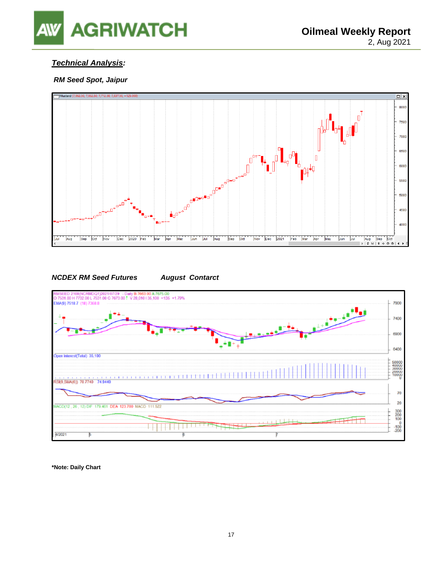

### *Technical Analysis:*

#### *RM Seed Spot, Jaipur*



#### *NCDEX RM Seed Futures August Contarct*



**\*Note: Daily Chart**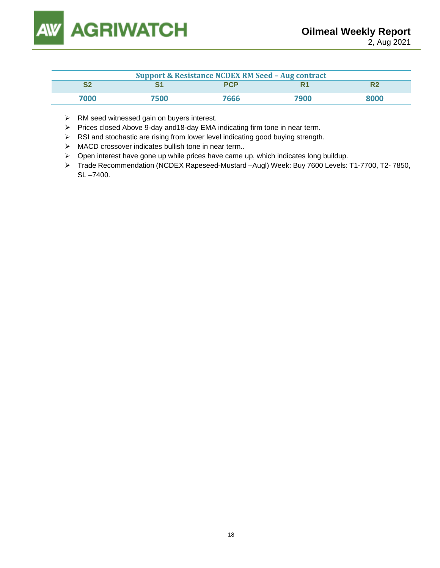

| <b>Support &amp; Resistance NCDEX RM Seed - Aug contract</b> |      |      |      |      |  |
|--------------------------------------------------------------|------|------|------|------|--|
| e q<br><b>PCP</b><br>R1                                      |      |      |      |      |  |
| 7000                                                         | 7500 | 7666 | 7900 | 8000 |  |

- ➢ RM seed witnessed gain on buyers interest.
- ➢ Prices closed Above 9-day and18-day EMA indicating firm tone in near term.
- ➢ RSI and stochastic are rising from lower level indicating good buying strength.
- ➢ MACD crossover indicates bullish tone in near term..
- ➢ Open interest have gone up while prices have came up, which indicates long buildup.
- ➢ Trade Recommendation (NCDEX Rapeseed-Mustard –Augl) Week: Buy 7600 Levels: T1-7700, T2- 7850, SL –7400.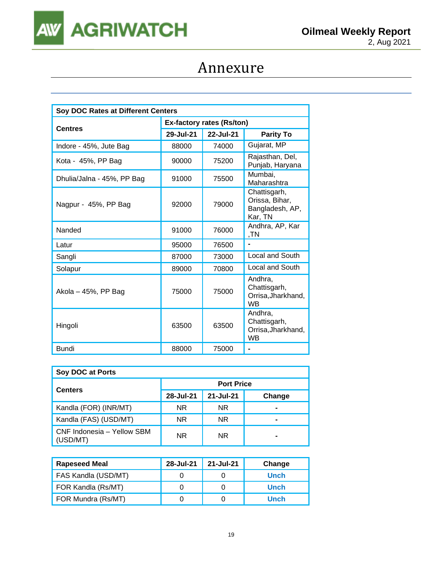

### Annexure

| Soy DOC Rates at Different Centers |           |                                  |                                                              |  |  |
|------------------------------------|-----------|----------------------------------|--------------------------------------------------------------|--|--|
|                                    |           | <b>Ex-factory rates (Rs/ton)</b> |                                                              |  |  |
| <b>Centres</b>                     | 29-Jul-21 | 22-Jul-21                        | <b>Parity To</b>                                             |  |  |
| Indore - 45%, Jute Bag             | 88000     | 74000                            | Gujarat, MP                                                  |  |  |
| Kota - 45%, PP Bag                 | 90000     | 75200                            | Rajasthan, Del,<br>Punjab, Haryana                           |  |  |
| Dhulia/Jalna - 45%, PP Bag         | 91000     | 75500                            | Mumbai,<br>Maharashtra                                       |  |  |
| Nagpur - 45%, PP Bag               | 92000     | 79000                            | Chattisgarh,<br>Orissa, Bihar,<br>Bangladesh, AP,<br>Kar, TN |  |  |
| Nanded                             | 91000     | 76000                            | Andhra, AP, Kar<br>,TN                                       |  |  |
| Latur                              | 95000     | 76500                            |                                                              |  |  |
| Sangli                             | 87000     | 73000                            | Local and South                                              |  |  |
| Solapur                            | 89000     | 70800                            | Local and South                                              |  |  |
| Akola – 45%, PP Bag                | 75000     | 75000                            | Andhra,<br>Chattisgarh,<br>Orrisa, Jharkhand,<br><b>WB</b>   |  |  |
| Hingoli                            | 63500     | 63500                            | Andhra,<br>Chattisgarh,<br>Orrisa, Jharkhand,<br><b>WB</b>   |  |  |
| Bundi                              | 88000     | 75000                            |                                                              |  |  |

| Soy DOC at Ports                       |                   |           |                          |  |  |
|----------------------------------------|-------------------|-----------|--------------------------|--|--|
| <b>Centers</b>                         | <b>Port Price</b> |           |                          |  |  |
|                                        | 28-Jul-21         | 21-Jul-21 | Change                   |  |  |
| Kandla (FOR) (INR/MT)                  | NR.               | NR.       | $\overline{\phantom{0}}$ |  |  |
| Kandla (FAS) (USD/MT)                  | NR.               | NR.       |                          |  |  |
| CNF Indonesia - Yellow SBM<br>(USD/MT) | NR.               | NR.       |                          |  |  |

| <b>Rapeseed Meal</b> | 28-Jul-21 | 21-Jul-21 | Change      |
|----------------------|-----------|-----------|-------------|
| FAS Kandla (USD/MT)  |           |           | <b>Unch</b> |
| FOR Kandla (Rs/MT)   |           |           | Unch        |
| FOR Mundra (Rs/MT)   |           |           | Unch        |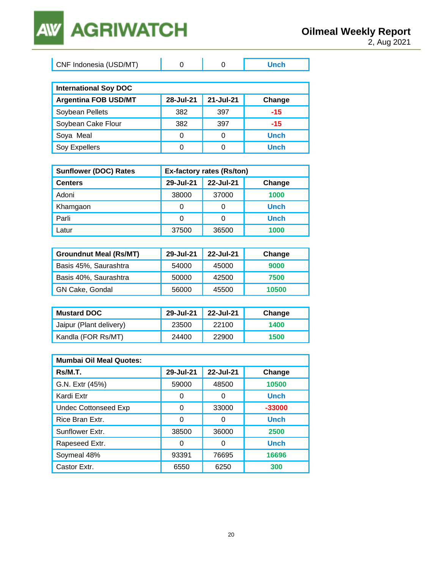

| CNF Indonesia (USD/MT) |  | Unch |
|------------------------|--|------|

| <b>International Soy DOC</b> |           |           |             |
|------------------------------|-----------|-----------|-------------|
| <b>Argentina FOB USD/MT</b>  | 28-Jul-21 | 21-Jul-21 | Change      |
| Soybean Pellets              | 382       | 397       | $-15$       |
| Soybean Cake Flour           | 382       | 397       | $-15$       |
| Soya Meal                    |           |           | <b>Unch</b> |
| Soy Expellers                |           |           | <b>Unch</b> |

| <b>Sunflower (DOC) Rates</b> | Ex-factory rates (Rs/ton) |           |             |  |
|------------------------------|---------------------------|-----------|-------------|--|
| <b>Centers</b>               | 29-Jul-21                 | 22-Jul-21 | Change      |  |
| Adoni                        | 38000                     | 37000     | 1000        |  |
| Khamgaon                     |                           |           | <b>Unch</b> |  |
| Parli                        |                           |           | <b>Unch</b> |  |
| Latur                        | 37500                     | 36500     | 1000        |  |

| <b>Groundnut Meal (Rs/MT)</b> | 29-Jul-21 | 22-Jul-21 | Change |
|-------------------------------|-----------|-----------|--------|
| Basis 45%, Saurashtra         | 54000     | 45000     | 9000   |
| Basis 40%, Saurashtra         | 50000     | 42500     | 7500   |
| GN Cake, Gondal               | 56000     | 45500     | 10500  |

| <b>Mustard DOC</b>      | 29-Jul-21 | 22-Jul-21 | Change |
|-------------------------|-----------|-----------|--------|
| Jaipur (Plant delivery) | 23500     | 22100     | 1400   |
| Kandla (FOR Rs/MT)      | 24400     | 22900     | 1500   |

| <b>Mumbai Oil Meal Quotes:</b> |           |           |             |  |  |
|--------------------------------|-----------|-----------|-------------|--|--|
| Rs/M.T.                        | 29-Jul-21 | 22-Jul-21 | Change      |  |  |
| G.N. Extr (45%)                | 59000     | 48500     | 10500       |  |  |
| Kardi Extr                     | 0         | 0         | <b>Unch</b> |  |  |
| <b>Undec Cottonseed Exp</b>    | 0         | 33000     | $-33000$    |  |  |
| Rice Bran Extr.                | $\Omega$  | 0         | <b>Unch</b> |  |  |
| Sunflower Extr.                | 38500     | 36000     | 2500        |  |  |
| Rapeseed Extr.                 | 0         | ი         | <b>Unch</b> |  |  |
| Soymeal 48%                    | 93391     | 76695     | 16696       |  |  |
| Castor Extr.                   | 6550      | 6250      | 300         |  |  |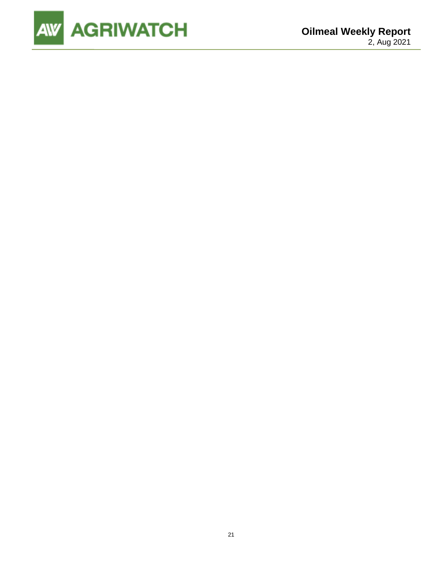

21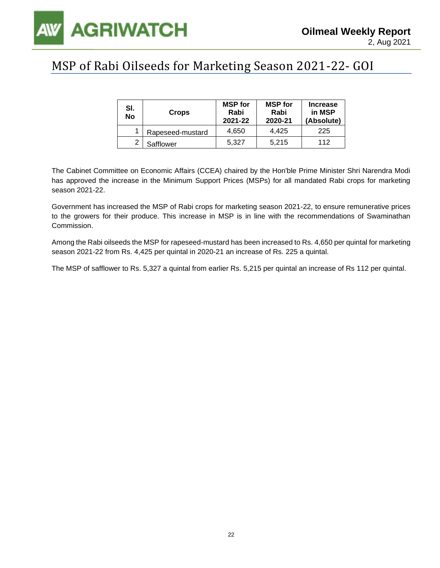

### MSP of Rabi Oilseeds for Marketing Season 2021-22- GOI

| SI.<br>No | <b>Crops</b>     | <b>MSP</b> for<br>Rabi<br>2021-22 | <b>MSP</b> for<br>Rabi<br>2020-21 | <b>Increase</b><br>in MSP<br>(Absolute) |
|-----------|------------------|-----------------------------------|-----------------------------------|-----------------------------------------|
|           | Rapeseed-mustard | 4.650                             | 4.425                             | 225                                     |
| ◠         | Safflower        | 5.327                             | 5.215                             | 112                                     |

The Cabinet Committee on Economic Affairs (CCEA) chaired by the Hon'ble Prime Minister Shri Narendra Modi has approved the increase in the Minimum Support Prices (MSPs) for all mandated Rabi crops for marketing season 2021-22.

Government has increased the MSP of Rabi crops for marketing season 2021-22, to ensure remunerative prices to the growers for their produce. This increase in MSP is in line with the recommendations of Swaminathan Commission.

Among the Rabi oilseeds the MSP for rapeseed-mustard has been increased to Rs. 4,650 per quintal for marketing season 2021-22 from Rs. 4,425 per quintal in 2020-21 an increase of Rs. 225 a quintal.

The MSP of safflower to Rs. 5,327 a quintal from earlier Rs. 5,215 per quintal an increase of Rs 112 per quintal.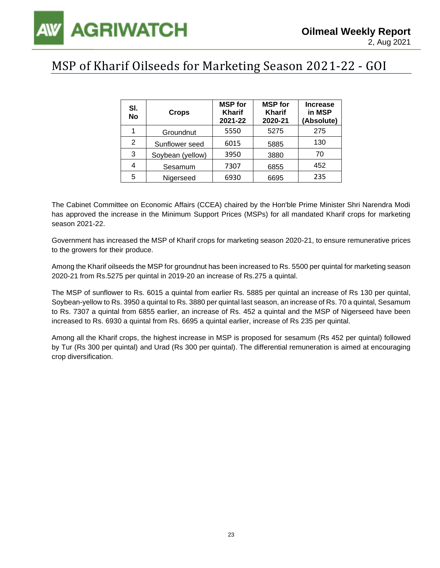### MSP of Kharif Oilseeds for Marketing Season 2021-22 - GOI

| SI.<br><b>No</b> | <b>Crops</b>     | <b>MSP</b> for<br><b>Kharif</b><br>2021-22 | <b>MSP</b> for<br><b>Kharif</b><br>2020-21 | <b>Increase</b><br>in MSP<br>(Absolute) |
|------------------|------------------|--------------------------------------------|--------------------------------------------|-----------------------------------------|
| 1                | Groundnut        | 5550                                       | 5275                                       | 275                                     |
| 2                | Sunflower seed   | 6015                                       | 5885                                       | 130                                     |
| 3                | Soybean (yellow) | 3950                                       | 3880                                       | 70                                      |
| 4                | Sesamum          | 7307                                       | 6855                                       | 452                                     |
| 5                | Nigerseed        | 6930                                       | 6695                                       | 235                                     |

The Cabinet Committee on Economic Affairs (CCEA) chaired by the Hon'ble Prime Minister Shri Narendra Modi has approved the increase in the Minimum Support Prices (MSPs) for all mandated Kharif crops for marketing season 2021-22.

Government has increased the MSP of Kharif crops for marketing season 2020-21, to ensure remunerative prices to the growers for their produce.

Among the Kharif oilseeds the MSP for groundnut has been increased to Rs. 5500 per quintal for marketing season 2020-21 from Rs.5275 per quintal in 2019-20 an increase of Rs.275 a quintal.

The MSP of sunflower to Rs. 6015 a quintal from earlier Rs. 5885 per quintal an increase of Rs 130 per quintal, Soybean-yellow to Rs. 3950 a quintal to Rs. 3880 per quintal last season, an increase of Rs. 70 a quintal, Sesamum to Rs. 7307 a quintal from 6855 earlier, an increase of Rs. 452 a quintal and the MSP of Nigerseed have been increased to Rs. 6930 a quintal from Rs. 6695 a quintal earlier, increase of Rs 235 per quintal.

Among all the Kharif crops, the highest increase in MSP is proposed for sesamum (Rs 452 per quintal) followed by Tur (Rs 300 per quintal) and Urad (Rs 300 per quintal). The differential remuneration is aimed at encouraging crop diversification.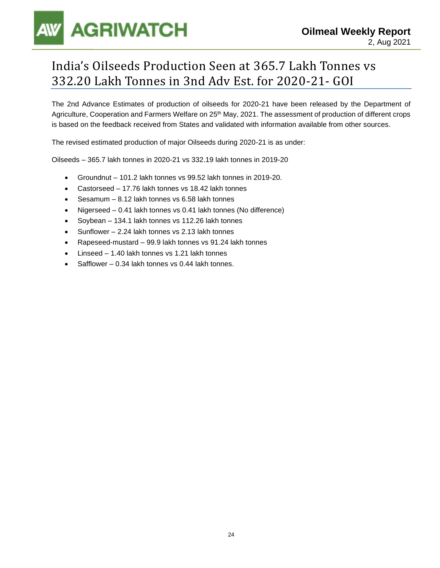### India's Oilseeds Production Seen at 365.7 Lakh Tonnes vs 332.20 Lakh Tonnes in 3nd Adv Est. for 2020-21- GOI

The 2nd Advance Estimates of production of oilseeds for 2020-21 have been released by the Department of Agriculture, Cooperation and Farmers Welfare on 25<sup>th</sup> May, 2021. The assessment of production of different crops is based on the feedback received from States and validated with information available from other sources.

The revised estimated production of major Oilseeds during 2020-21 is as under:

Oilseeds – 365.7 lakh tonnes in 2020-21 vs 332.19 lakh tonnes in 2019-20

- Groundnut 101.2 lakh tonnes vs 99.52 lakh tonnes in 2019-20.
- Castorseed 17.76 lakh tonnes vs 18.42 lakh tonnes
- Sesamum 8.12 lakh tonnes vs 6.58 lakh tonnes
- Nigerseed 0.41 lakh tonnes vs 0.41 lakh tonnes (No difference)
- Soybean 134.1 lakh tonnes vs 112.26 lakh tonnes
- Sunflower 2.24 lakh tonnes vs 2.13 lakh tonnes
- Rapeseed-mustard 99.9 lakh tonnes vs 91.24 lakh tonnes
- Linseed 1.40 lakh tonnes vs 1.21 lakh tonnes
- Safflower 0.34 lakh tonnes vs 0.44 lakh tonnes.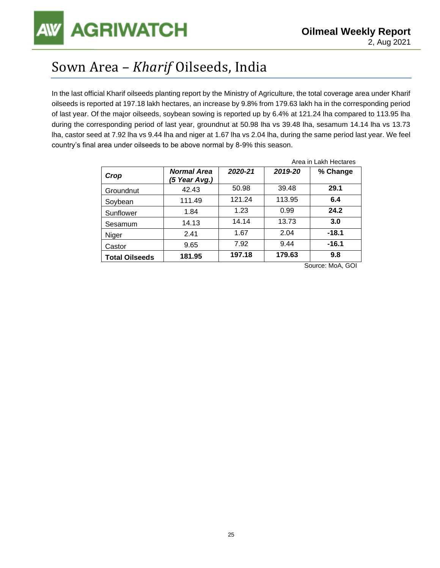### Sown Area – *Kharif* Oilseeds, India

In the last official Kharif oilseeds planting report by the Ministry of Agriculture, the total coverage area under Kharif oilseeds is reported at 197.18 lakh hectares, an increase by 9.8% from 179.63 lakh ha in the corresponding period of last year. Of the major oilseeds, soybean sowing is reported up by 6.4% at 121.24 lha compared to 113.95 lha during the corresponding period of last year, groundnut at 50.98 lha vs 39.48 lha, sesamum 14.14 lha vs 13.73 lha, castor seed at 7.92 lha vs 9.44 lha and niger at 1.67 lha vs 2.04 lha, during the same period last year. We feel country's final area under oilseeds to be above normal by 8-9% this season.

|                       |                                     | Area in Lakh Hectares |         |          |  |
|-----------------------|-------------------------------------|-----------------------|---------|----------|--|
| Crop                  | <b>Normal Area</b><br>(5 Year Avg.) | 2020-21               | 2019-20 | % Change |  |
| Groundnut             | 42.43                               | 50.98                 | 39.48   | 29.1     |  |
| Soybean               | 111.49                              | 121.24                | 113.95  | 6.4      |  |
| Sunflower             | 1.84                                | 1.23                  | 0.99    | 24.2     |  |
| Sesamum               | 14.13                               | 14.14                 | 13.73   | 3.0      |  |
| Niger                 | 2.41                                | 1.67                  | 2.04    | $-18.1$  |  |
| Castor                | 9.65                                | 7.92                  | 9.44    | $-16.1$  |  |
| <b>Total Oilseeds</b> | 181.95                              | 197.18                | 179.63  | 9.8      |  |

Source: MoA, GOI